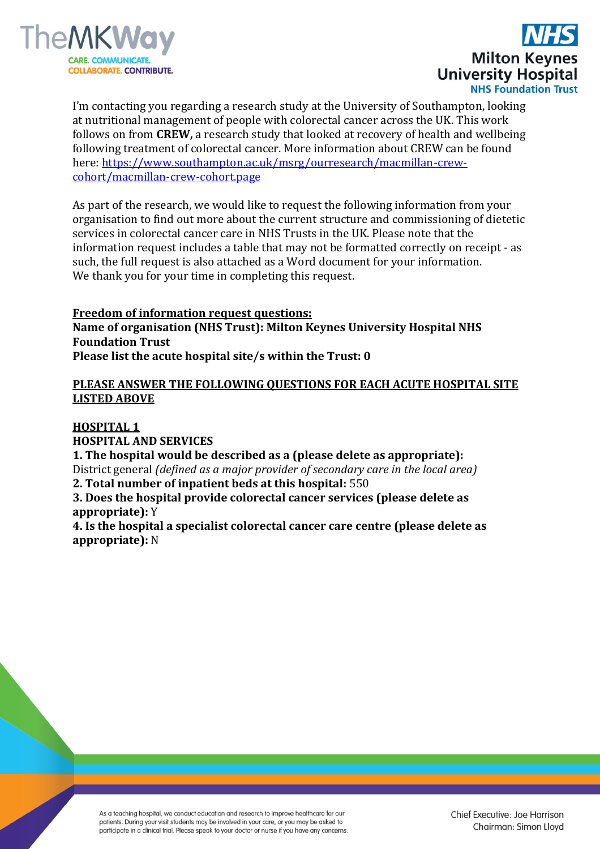



I'm contacting you regarding a research study at the University of Southampton, looking at nutritional management of people with colorectal cancer across the UK. This work follows on from **CREW,** a research study that looked at recovery of health and wellbeing following treatment of colorectal cancer. More information about CREW can be found here: [https://www.southampton.ac.uk/msrg/ourresearch/macmillan-crew](https://www.southampton.ac.uk/msrg/ourresearch/macmillan-crew-cohort/macmillan-crew-cohort.page)[cohort/macmillan-crew-cohort.page](https://www.southampton.ac.uk/msrg/ourresearch/macmillan-crew-cohort/macmillan-crew-cohort.page)

As part of the research, we would like to request the following information from your organisation to find out more about the current structure and commissioning of dietetic services in colorectal cancer care in NHS Trusts in the UK. Please note that the information request includes a table that may not be formatted correctly on receipt - as such, the full request is also attached as a Word document for your information. We thank you for your time in completing this request.

**Freedom of information request questions: Name of organisation (NHS Trust): Milton Keynes University Hospital NHS Foundation Trust Please list the acute hospital site/s within the Trust: 0**

## **PLEASE ANSWER THE FOLLOWING QUESTIONS FOR EACH ACUTE HOSPITAL SITE LISTED ABOVE**

## **HOSPITAL 1**

**HOSPITAL AND SERVICES 1. The hospital would be described as a (please delete as appropriate):** District general *(defined as a major provider of secondary care in the local area)* **2. Total number of inpatient beds at this hospital:** 550 **3. Does the hospital provide colorectal cancer services (please delete as appropriate):** Y **4. Is the hospital a specialist colorectal cancer care centre (please delete as** 

**appropriate):** N

As a teaching hospital, we conduct education and research to improve healthcare for our patients. During your visit students may be involved in your care, or you may be asked to participate in a clinical trial. Please speak to your doctor or nurse if you have any concerns.